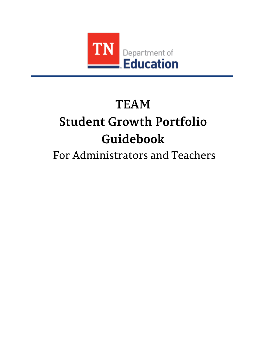

# **TEAM Student Growth Portfolio** Guidebook

## For Administrators and Teachers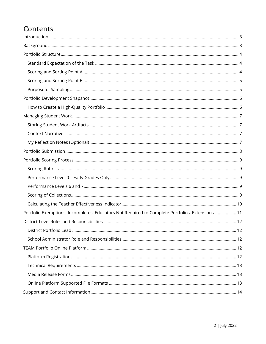### Contents

<span id="page-1-0"></span>

| Portfolio Exemptions, Incompletes, Educators Not Required to Complete Portfolios, Extensions  11 |  |
|--------------------------------------------------------------------------------------------------|--|
|                                                                                                  |  |
|                                                                                                  |  |
|                                                                                                  |  |
|                                                                                                  |  |
|                                                                                                  |  |
|                                                                                                  |  |
|                                                                                                  |  |
|                                                                                                  |  |
|                                                                                                  |  |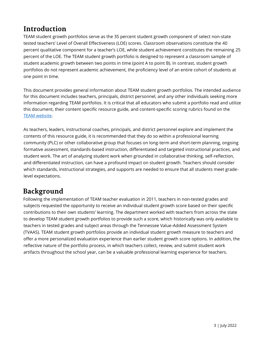### Introduction

TEAM student growth portfolios serve as the 35 percent student growth component of select non-state tested teachers' Level of Overall Effectiveness (LOE) scores. Classroom observations constitute the 40 percent qualitative component for a teacher's LOE, while student achievement constitutes the remaining 25 percent of the LOE. The TEAM student growth portfolio is designed to represent a classroom sample of student academic growth between two points in time (point A to point B). In contrast, student growth portfolios do not represent academic achievement, the proficiency level of an entire cohort of students at one point in time.

This document provides general information about TEAM student growth portfolios. The intended audience for this document includes teachers, principals, district personnel, and any other individuals seeking more information regarding TEAM portfolios. It is critical that all educators who submit a portfolio read and utilize this document, their content specific resource guide, and content-specific scoring rubrics found on the [TEAM website.](https://team-tn.org/portfolio-resources/)

As teachers, leaders, instructional coaches, principals, and district personnel explore and implement the contents of this resource guide, it is recommended that they do so within a professional learning community (PLC) or other collaborative group that focuses on long-term and short-term planning, ongoing formative assessment, standards-based instruction, differentiated and targeted instructional practices, and student work. The art of analyzing student work when grounded in collaborative thinking, self-reflection, and differentiated instruction, can have a profound impact on student growth. Teachers should consider which standards, instructional strategies, and supports are needed to ensure that all students meet gradelevel expectations.

### <span id="page-2-0"></span>**Background**

Following the implementation of TEAM teacher evaluation in 2011, teachers in non-tested grades and subjects requested the opportunity to receive an individual student growth score based on their specific contributions to their own students' learning. The department worked with teachers from across the state to develop TEAM student growth portfolios to provide such a score, which historically was only available to teachers in tested grades and subject areas through the Tennessee Value-Added Assessment System (TVAAS). TEAM student growth portfolios provide an individual student growth measure to teachers and offer a more personalized evaluation experience than earlier student growth score options. In addition, the reflective nature of the portfolio process, in which teachers collect, review, and submit student work artifacts throughout the school year, can be a valuable professional learning experience for teachers.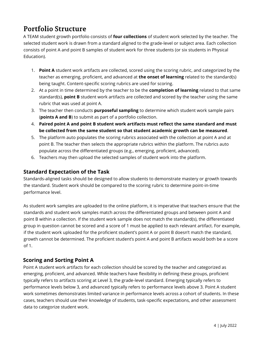### <span id="page-3-0"></span>**Portfolio Structure**

A TEAM student growth portfolio consists of **four collections** of student work selected by the teacher. The selected student work is drawn from a standard aligned to the grade-level or subject are[a.](http://team-tn.org/non-tested-grades-subjects/portfolio-resources/) Each collection consists of point A and point B samples of student work for three students (or six students in Physical Education).

- 1. **Point A** student work artifacts are collected, scored using the scoring rubric, and categorized by the teacher as emerging, proficient, and advanced at **the onset of learning** related to the standard(s) being taught. Content-specific scoring rubrics are used for scoring.
- 2. At a point in time determined by the teacher to be the **completion of learning** related to that same standard(s), **point B** student work artifacts are collected and scored by the teacher using the same rubric that was used at point A.
- 3. The teacher then conducts **purposeful sampling** to determine which student work sample pairs (**points A and B**) to submit as part of a portfolio collection.
- 4. **Paired point A and point B student work artifacts must reflect the same standard and must be collected from the same student so that student academic growth can be measured**.
- 5. The platform auto populates the scoring rubrics associated with the collection at point A and at point B. The teacher then selects the appropriate rubrics within the platform. The rubrics auto populate across the differentiated groups (e.g., emerging, proficient, advanced).
- 6. Teachers may then upload the selected samples of student work into the platform.

#### <span id="page-3-1"></span>**Standard Expectation of the Task**

Standards-aligned tasks should be designed to allow students to demonstrate mastery or growth towards the standard. Student work should be compared to the scoring rubric to determine point-in-time performance level.

As student work samples are uploaded to the online platform, it is imperative that teachers ensure that the standards and student work samples match across the differentiated groups and between point A and point B within a collection. If the student work sample does not match the standard(s), the differentiated group in question cannot be scored and a score of 1 must be applied to each relevant artifact. For example, if the student work uploaded for the proficient student's point A or point B doesn't match the standard, growth cannot be determined. The proficient student's point A and point B artifacts would both be a score of 1.

#### <span id="page-3-2"></span>**Scoring and Sorting Point A**

Point A student work artifacts for each collection should be scored by the teacher and categorized as emerging, proficient, and advanced. While teachers have flexibility in defining these groups, proficient typically refers to artifacts scoring at Level 3, the grade-level standard. Emerging typically refers to performance levels below 3, and advanced typically refers to performance levels above 3. Point A student work sometimes demonstrates limited variance in performance levels across a cohort of students. In these cases, teachers should use their knowledge of students, task-specific expectations, and other assessment data to categorize student work.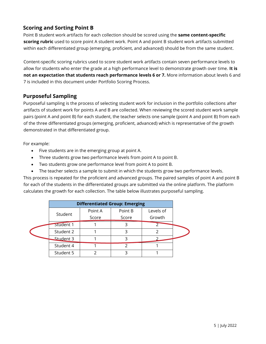#### <span id="page-4-0"></span>**Scoring and Sorting Point B**

Point B student work artifacts for each collection should be scored using the **same content-specific scoring rubric** used to score point A student work. Point A and point B student work artifacts submitted within each differentiated group (emerging, proficient, and advanced) should be from the same student.

Content-specific scoring rubrics used to score student work artifacts contain seven performance levels to allow for students who enter the grade at a high performance level to demonstrate growth over time. **It is not an expectation that students reach performance levels 6 or 7.** More information about levels 6 and 7 is included in this document under Portfolio Scoring Process.

#### <span id="page-4-1"></span>**Purposeful Sampling**

Purposeful sampling is the process of selecting student work for inclusion in the portfolio collections after artifacts of student work for points A and B are collected. When reviewing the scored student work sample pairs (point A and point B) for each student, the teacher selects one sample (point A and point B) from each of the three differentiated groups (emerging, proficient, advanced) which is representative of the growth demonstrated in that differentiated group.

For example:

ľ

- Five students are in the emerging group at point A.
- Three students grow two performance levels from point A to point B.
- Two students grow one performance level from point A to point B.
- The teacher selects a sample to submit in which the students grow two performance levels.

This process is repeated for the proficient and advanced groups. The paired samples of point A and point B for each of the students in the differentiated groups are submitted via the online platform. The platform calculates the growth for each collection. The table below illustrates purposeful sampling.

|  | <b>Differentiated Group: Emerging</b> |         |         |           |
|--|---------------------------------------|---------|---------|-----------|
|  |                                       | Point A | Point B | Levels of |
|  | Student                               | Score   | Score   | Growth    |
|  | Student 1                             |         |         |           |
|  | Student 2                             |         |         |           |
|  | Student 3                             |         |         |           |
|  | Student 4                             |         |         |           |
|  | Student 5                             |         |         |           |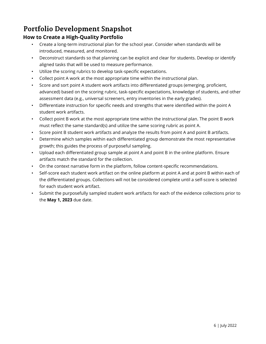### <span id="page-5-0"></span>Portfolio Development Snapshot

#### <span id="page-5-1"></span>**How to Create a High-Quality Portfolio**

- Create a long-term instructional plan for the school year. Consider when standards will be introduced, measured, and monitored.
- Deconstruct standards so that planning can be explicit and clear for students. Develop or identify aligned tasks that will be used to measure performance.
- Utilize the scoring rubrics to develop task-specific expectations.
- Collect point A work at the most appropriate time within the instructional plan.
- Score and sort point A student work artifacts into differentiated groups (emerging, proficient, advanced) based on the scoring rubric, task-specific expectations, knowledge of students, and other assessment data (e.g., universal screeners, entry inventories in the early grades).
- Differentiate instruction for specific needs and strengths that were identified within the point A student work artifacts.
- Collect point B work at the most appropriate time within the instructional plan. The point B work must reflect the same standard(s) and utilize the same scoring rubric as point A.
- Score point B student work artifacts and analyze the results from point A and point B artifacts.
- Determine which samples within each differentiated group demonstrate the most representative growth; this guides the process of purposeful sampling.
- Upload each differentiated group sample at point A and point B in the online platform. Ensure artifacts match the standard for the collection.
- On the context narrative form in the platform, follow content-specific recommendations.
- Self-score each student work artifact on the online platform at point A and at point B within each of the differentiated groups. Collections will not be considered complete until a self-score is selected for each student work artifact.
- Submit the purposefully sampled student work artifacts for each of the evidence collections prior to the **May 1, 2023** due date.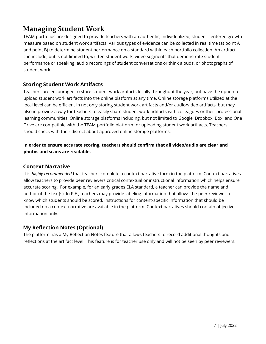### <span id="page-6-0"></span>**Managing Student Work**

TEAM portfolios are designed to provide teachers with an authentic, individualized, student-centered growth measure based on student work artifacts. Various types of evidence can be collected in real time (at point A and point B) to determine student performance on a standard within each portfolio collection. An artifact can include, but is not limited to, written student work, video segments that demonstrate student performance or speaking, audio recordings of student conversations or think alouds, or photographs of student work.

#### <span id="page-6-1"></span>**Storing Student Work Artifacts**

Teachers are encouraged to store student work artifacts locally throughout the year, but have the option to upload student work artifacts into the online platform at any time. Online storage platforms utilized at the local level can be efficient in not only storing student work artifacts and/or audio/video artifacts, but may also in provide a way for teachers to easily share student work artifacts with colleagues or their professional learning communities. Online storage platforms including, but not limited to Google, Dropbox, Box, and One Drive are compatible with the TEAM portfolio platform for uploading student work artifacts. Teachers should check with their district about approved online storage platforms.

#### **In order to ensure accurate scoring, teachers should confirm that all video/audio are clear and photos and scans are readable.**

#### <span id="page-6-2"></span>**Context Narrative**

It is *highly recommended* that teachers complete a context narrative form in the platform. Context narratives allow teachers to provide peer reviewers critical contextual or instructional information which helps ensure accurate scoring. For example, for an early grades ELA standard, a teacher can provide the name and author of the text(s). In P.E., teachers may provide labeling information that allows the peer reviewer to know which students should be scored. Instructions for content-specific information that should be included on a context narrative are available in the platform. Context narratives should contain objective information only.

#### <span id="page-6-3"></span>**My Reflection Notes (Optional)**

The platform has a My Reflection Notes feature that allows teachers to record additional thoughts and reflections at the artifact level. This feature is for teacher use only and will not be seen by peer reviewers.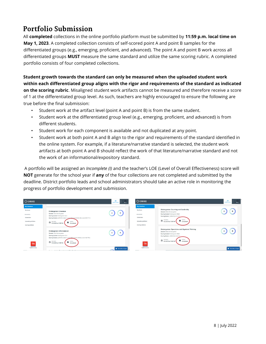### <span id="page-7-0"></span>**Portfolio Submission**

All **completed** collections in the online portfolio platform must be submitted by **11:59 p.m. local time on May 1, 2023**. A completed collection consists of self-scored point A and point B samples for the differentiated groups (e.g., emerging, proficient, and advanced). The point A and point B work across all differentiated groups **MUST** measure the same standard and utilize the same scoring rubric. A completed portfolio consists of four completed collections.

**Student growth towards the standard can only be measured when the uploaded student work within each differentiated group aligns with the rigor and requirements of the standard as indicated on the scoring rubric**. Misaligned student work artifacts cannot be measured and therefore receive a score of 1 at the differentiated group level. As such, teachers are highly encouraged to ensure the following are true before the final submission:

- Student work at the artifact level (point A and point B) is from the same student.
- Student work at the differentiated group level (e.g., emerging, proficient, and advanced) is from different students.
- Student work for each component is available and not duplicated at any point.
- Student work at both point A and B align to the rigor and requirements of the standard identified in the online system. For example, if a literature/narrative standard is selected, the student work artifacts at both point A and B should reflect the work of that literature/narrative standard and not the work of an informational/expository standard.

A portfolio will be assigned an *Incomplete (I)* and the teacher's LOE (Level of Overall Effectiveness) score will **NOT** generate for the school year if **any** of the four collections are not completed and submitted by the deadline. District portfolio leads and school administrators should take an active role in monitoring the progress of portfolio development and submission.

| <b>CO CANVAS</b>           |                                                                                                               | $\approx$<br>TEAM Portfolio<br>Me <sub>z</sub> | <b>CO CANVAS</b>                |                                                                                                                   | $\approx$<br>$\frac{1}{2}$<br><b>TEAM Portfolio</b> |
|----------------------------|---------------------------------------------------------------------------------------------------------------|------------------------------------------------|---------------------------------|-------------------------------------------------------------------------------------------------------------------|-----------------------------------------------------|
| My Collections             |                                                                                                               |                                                | <b>My Collections</b>           |                                                                                                                   |                                                     |
| My Score                   | Kindergarten: Literature<br>Domain: ELA: Kindergarten                                                         | $\mathbf{B}$<br>А                              | My Score                        | Kindergarten: Counting and Cardinality<br>Domain: Math: Kindergarten                                              |                                                     |
| RESOURCES<br>Collections   | Scoring Guide: Kindergarten ELA<br>Scoring Rubric: [2018-19] Option 3: K.FL WC 4 and K.RL KID.2 and K.W.TTP.3 |                                                | <b>RESOURCES</b><br>Collections | Scoring Guide: Kindergarten Math<br>Scoring Rubric: [2018-19] K.CC.A.3                                            |                                                     |
| <b>Uploading Artifacts</b> | <b>DUE DATE</b><br>5/2/2019 at 11:59 PM<br><b>STATUS</b><br>Completed                                         |                                                | Uploading Artifacts             | <b>Ed STATUS</b><br><b>DOE DATE</b><br>5/2/2019 at 11:59 PM                                                       |                                                     |
| <b>Scoring Artifacts</b>   |                                                                                                               |                                                | Scoring Artifacts               |                                                                                                                   |                                                     |
|                            | Kindergarten: Informational<br>Domain: ELA: Kindergarten                                                      | B<br>А                                         |                                 | Kindergarten: Operations and Algebraic Thinking<br>Domain: Math: Kindergarten<br>Scoring Guide: Kindergarten Math |                                                     |
|                            | Scoring Guide: Kindergarten ELA<br>Scoring Rubric: [2018-19] Option C: K.FL.WC.4 and K.RI.KID.2 and K.W.TTP.2 |                                                |                                 | Scoring Rubric: [2018-19] K.OA.A.4                                                                                |                                                     |
| TN                         | <b>STATUS</b><br>OUE DATE<br>3/2/2019 at 11:59 PM<br>$\overline{\bullet}$ Completed                           |                                                | TN                              | <b>DUE DATE</b><br><b>B</b> 8/2/2019 at 11:59 PM<br>$\cdot$ $\blacksquare$ <sup>status</sup><br>Completed         |                                                     |
| <b>TEAM Portfolio</b>      |                                                                                                               | Chat with an Export                            | <b>TEAM Portfolio</b>           |                                                                                                                   | Chat with an Export                                 |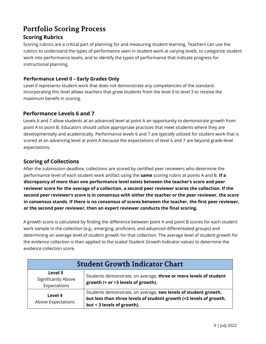### <span id="page-8-0"></span>**Portfolio Scoring Process**

#### <span id="page-8-1"></span>**Scoring Rubrics**

Scoring rubrics are a critical part of planning for and measuring student learning. Teachers can use the rubrics to understand the types of performance seen in student work at varying levels, to categorize student work into performance levels, and to identify the types of performance that indicate progress for instructional planning.

#### <span id="page-8-2"></span>**Performance Level 0 – Early Grades Only**

Level 0 represents student work that does not demonstrate any competencies of the standard. Incorporating this level allows teachers that grow students from the level 0 to level 3 to receive the maximum benefit in scoring.

#### <span id="page-8-3"></span>**Performance Levels 6 and 7**

Levels 6 and 7 allow students at an advanced level at point A an opportunity to demonstrate growth from point A to point B. Educators should utilize appropriate practices that meet students where they are developmentally and academically. Performance levels 6 and 7 are *typically* utilized for student work that is scored at an advancing level at point A because the expectations of level 6 and 7 are beyond grade-level expectations.

#### <span id="page-8-4"></span>**Scoring of Collections**

After the submission deadline, collections are scored by certified peer reviewers who determine the performance level of each student work artifact using the **same** scoring rubric at points A and B. **If a discrepancy of more than one performance level exists between the teacher's score and peer reviewer score for the average of a collection, a second peer reviewer scores the collection. If the second peer reviewer's score is in consensus with either the teacher or the peer reviewer, the score in consensus stands. If there is no consensus of scores between the teacher, the first peer reviewer, or the second peer reviewer, then an expert reviewer conducts the final scoring.**

A growth score is calculated by finding the difference between point A and point B scores for each student work sample in the collection (e.g., emerging, proficient, and advanced differentiated groups) and determining an average level of student growth for that collection. The average level of student growth for the evidence collection is then applied to the scaled Student Growth Indicator values to determine the evidence collection score.

| <b>Student Growth Indicator Chart</b>          |                                                                                                                                                                     |  |  |
|------------------------------------------------|---------------------------------------------------------------------------------------------------------------------------------------------------------------------|--|--|
| Level 5<br>Significantly Above<br>Expectations | Students demonstrate, on average, three or more levels of student<br>growth $(=$ or >3 levels of growth).                                                           |  |  |
| Level 4<br>Above Expectations                  | Students demonstrate, on average, two levels of student growth,<br>but less than three levels of student growth (=2 levels of growth,<br>but < 3 levels of growth). |  |  |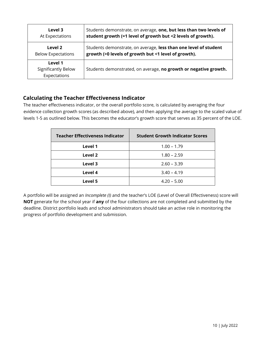| Level 3                                               | Students demonstrate, on average, one, but less than two levels of |
|-------------------------------------------------------|--------------------------------------------------------------------|
| At Expectations                                       | student growth (=1 level of growth but <2 levels of growth).       |
| Level 2                                               | Students demonstrate, on average, less than one level of student   |
| <b>Below Expectations</b>                             | growth (>0 levels of growth but <1 level of growth).               |
| Level 1<br><b>Significantly Below</b><br>Expectations | Students demonstrated, on average, no growth or negative growth.   |

#### <span id="page-9-0"></span>**Calculating the Teacher Effectiveness Indicator**

The teacher effectiveness indicator, or the overall portfolio score, is calculated by averaging the four evidence collection growth scores (as described above), and then applying the average to the scaled value of levels 1-5 as outlined below. This becomes the educator's growth score that serves as 35 percent of the LOE.

| <b>Teacher Effectiveness Indicator</b> | <b>Student Growth Indicator Scores</b> |
|----------------------------------------|----------------------------------------|
| Level 1                                | $1.00 - 1.79$                          |
| Level 2                                | $1.80 - 2.59$                          |
| Level 3                                | $2.60 - 3.39$                          |
| Level 4                                | $3.40 - 4.19$                          |
| Level 5                                | $4.20 - 5.00$                          |

A portfolio will be assigned an *Incomplete (I)* and the teacher's LOE (Level of Overall Effectiveness) score will **NOT** generate for the school year if **any** of the four collections are not completed and submitted by the deadline. District portfolio leads and school administrators should take an active role in monitoring the progress of portfolio development and submission.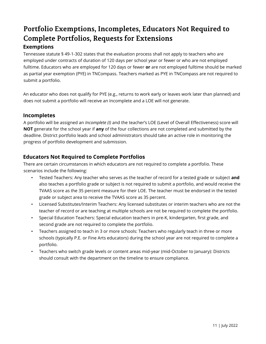### <span id="page-10-0"></span>Portfolio Exemptions, Incompletes, Educators Not Required to **Complete Portfolios, Requests for Extensions Exemptions**

Tennessee statute § 49-1-302 states that the evaluation process shall not apply to teachers who are employed under contracts of duration of 120 days per school year or fewer or who are not employed fulltime. Educators who are employed for 120 days or fewer **or** are not employed fulltime should be marked as partial year exemption (PYE) in TNCompass. Teachers marked as PYE in TNCompass are not required to submit a portfolio.

An educator who does not qualify for PYE (e.g., returns to work early or leaves work later than planned) and does not submit a portfolio will receive an Incomplete and a LOE will not generate.

#### **Incompletes**

A portfolio will be assigned an *Incomplete (I)* and the teacher's LOE (Level of Overall Effectiveness) score will **NOT** generate for the school year if **any** of the four collections are not completed and submitted by the deadline. District portfolio leads and school administrators should take an active role in monitoring the progress of portfolio development and submission.

#### **Educators Not Required to Complete Portfolios**

There are certain circumstances in which educators are not required to complete a portfolio. These scenarios include the following:

- Tested Teachers: Any teacher who serves as the teacher of record for a tested grade or subject **and** also teaches a portfolio grade or subject is not required to submit a portfolio, and would receive the TVAAS score as the 35 percent measure for their LOE. The teacher must be endorsed in the tested grade or subject area to receive the TVAAS score as 35 percent.
- Licensed Substitutes/Interim Teachers: Any licensed substitutes or interim teachers who are not the teacher of record or are teaching at multiple schools are not be required to complete the portfolio.
- Special Education Teachers: Special education teachers in pre-K, kindergarten, first grade, and second grade are not required to complete the portfolio.
- Teachers assigned to teach in 3 or more schools: Teachers who regularly teach in three or more schools (typically P.E. or Fine Arts educators) during the school year are not required to complete a portfolio.
- Teachers who switch grade levels or content areas mid-year (mid-October to January): Districts should consult with the department on the timeline to ensure compliance.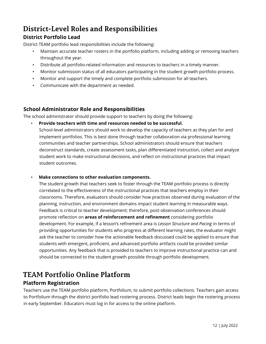### <span id="page-11-0"></span>**District-Level Roles and Responsibilities**

#### <span id="page-11-1"></span>**District Portfolio Lead**

District TEAM portfolio lead responsibilities include the following:

- Maintain accurate teacher rosters in the portfolio platform, including adding or removing teachers throughout the year.
- Distribute all portfolio-related information and resources to teachers in a timely manner.
- Monitor submission status of all educators participating in the student growth portfolio process.
- Monitor and support the timely and complete portfolio submission for all teachers.
- Communicate with the department as needed.

#### <span id="page-11-2"></span>**School Administrator Role and Responsibilities**

The school administrator should provide support to teachers by doing the following:

• **Provide teachers with time and resources needed to be successful.**

School-level administrators should work to develop the capacity of teachers as they plan for and implement portfolios. This is best done through teacher collaboration via professional learning communities and teacher partnerships. School administrators should ensure that teachers deconstruct standards, create assessment tasks, plan differentiated instruction, collect and analyze student work to make instructional decisions, and reflect on instructional practices that impact student outcomes.

• **Make connections to other evaluation components.**

The student growth that teachers seek to foster through the TEAM portfolio process is directly correlated to the effectiveness of the instructional practices that teachers employ in their classrooms. Therefore, evaluators should consider how practices observed during evaluation of the planning, instruction, and environment domains impact student learning in measurable ways. Feedback is critical to teacher development; therefore, post-observation conferences should promote reflection on **areas of reinforcement and refinement** considering portfolio development. For example, if a lesson's refinement area is *Lesson Structure and Pacing* in terms of providing opportunities for students who progress at different learning rates, the evaluator might ask the teacher to consider how the actionable feedback discussed could be applied to ensure that students with emergent, proficient, and advanced portfolio artifacts could be provided similar opportunities. Any feedback that is provided to teachers to improve instructional practice can and should be connected to the student growth possible through portfolio development.

### <span id="page-11-3"></span>**TEAM Portfolio Online Platform**

#### <span id="page-11-4"></span>**Platform Registration**

Teachers use the TEAM portfolio platform, Portfolium, to submit portfolio collections. Teachers gain access to Portfolium through the district portfolio lead rostering process. District leads begin the rostering process in early September. Educators must log in for access to the online platform.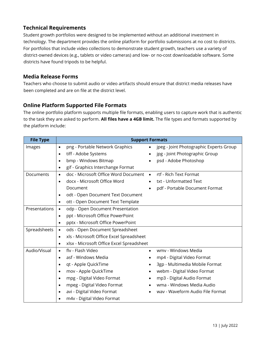#### <span id="page-12-0"></span>**Technical Requirements**

Student growth portfolios were designed to be implemented without an additional investment in technology. The department provides the online platform for portfolio submissions at no cost to districts. For portfolios that include video collections to demonstrate student growth, teachers use a variety of district-owned devices (e.g., tablets or video cameras) and low- or no-cost downloadable software. Some districts have found tripods to be helpful.

#### <span id="page-12-1"></span>**Media Release Forms**

Teachers who choose to submit audio or video artifacts should ensure that district media releases have been completed and are on file at the district level.

#### <span id="page-12-2"></span>**Online Platform Supported File Formats**

The online portfolio platform supports multiple file formats, enabling users to capture work that is authentic to the task they are asked to perform. **All files have a 4GB limit.** The file types and formats supported by the platform include:

| <b>File Type</b> | <b>Support Formats</b>                                 |                                         |  |
|------------------|--------------------------------------------------------|-----------------------------------------|--|
| Images           | png - Portable Network Graphics<br>$\bullet$           | jpeg - Joint Photographic Experts Group |  |
|                  | tiff - Adobe Systems<br>$\bullet$                      | jpg - Joint Photographic Group          |  |
|                  | bmp - Windows Bitmap<br>$\bullet$                      | psd - Adobe Photoshop                   |  |
|                  | gif - Graphics Interchange Format<br>$\bullet$         |                                         |  |
| Documents        | doc - Microsoft Office Word Document .<br>$\bullet$    | rtf - Rich Text Format                  |  |
|                  | docx - Microsoft Office Word<br>$\bullet$              | txt - Unformatted Text<br>$\bullet$     |  |
|                  | Document                                               | pdf - Portable Document Format          |  |
|                  | odt - Open Document Text Document<br>$\bullet$         |                                         |  |
|                  | ott - Open Document Text Template<br>$\bullet$         |                                         |  |
| Presentations    | odp - Open Document Presentation<br>$\bullet$          |                                         |  |
|                  | ppt - Microsoft Office PowerPoint<br>$\bullet$         |                                         |  |
|                  | pptx - Microsoft Office PowerPoint<br>$\bullet$        |                                         |  |
| Spreadsheets     | ods - Open Document Spreadsheet<br>$\bullet$           |                                         |  |
|                  | xls - Microsoft Office Excel Spreadsheet<br>$\bullet$  |                                         |  |
|                  | xlsx - Microsoft Office Excel Spreadsheet<br>$\bullet$ |                                         |  |
| Audio/Visual     | flv - Flash Video<br>$\bullet$                         | wmy - Windows Media<br>$\bullet$        |  |
|                  | asf - Windows Media<br>$\bullet$                       | mp4 - Digital Video Format<br>$\bullet$ |  |
|                  | qt - Apple QuickTime<br>$\bullet$                      | 3gp - Multimedia Mobile Format          |  |
|                  | mov - Apple QuickTime<br>$\bullet$                     | webm - Digital Video Format             |  |
|                  | mpg - Digital Video Format<br>$\bullet$                | mp3 - Digital Audio Format              |  |
|                  | mpeg - Digital Video Format<br>$\bullet$               | wma - Windows Media Audio               |  |
|                  | avi - Digital Video Format<br>$\bullet$                | wav - Waveform Audio File Format        |  |
|                  | m4v - Digital Video Format<br>$\bullet$                |                                         |  |